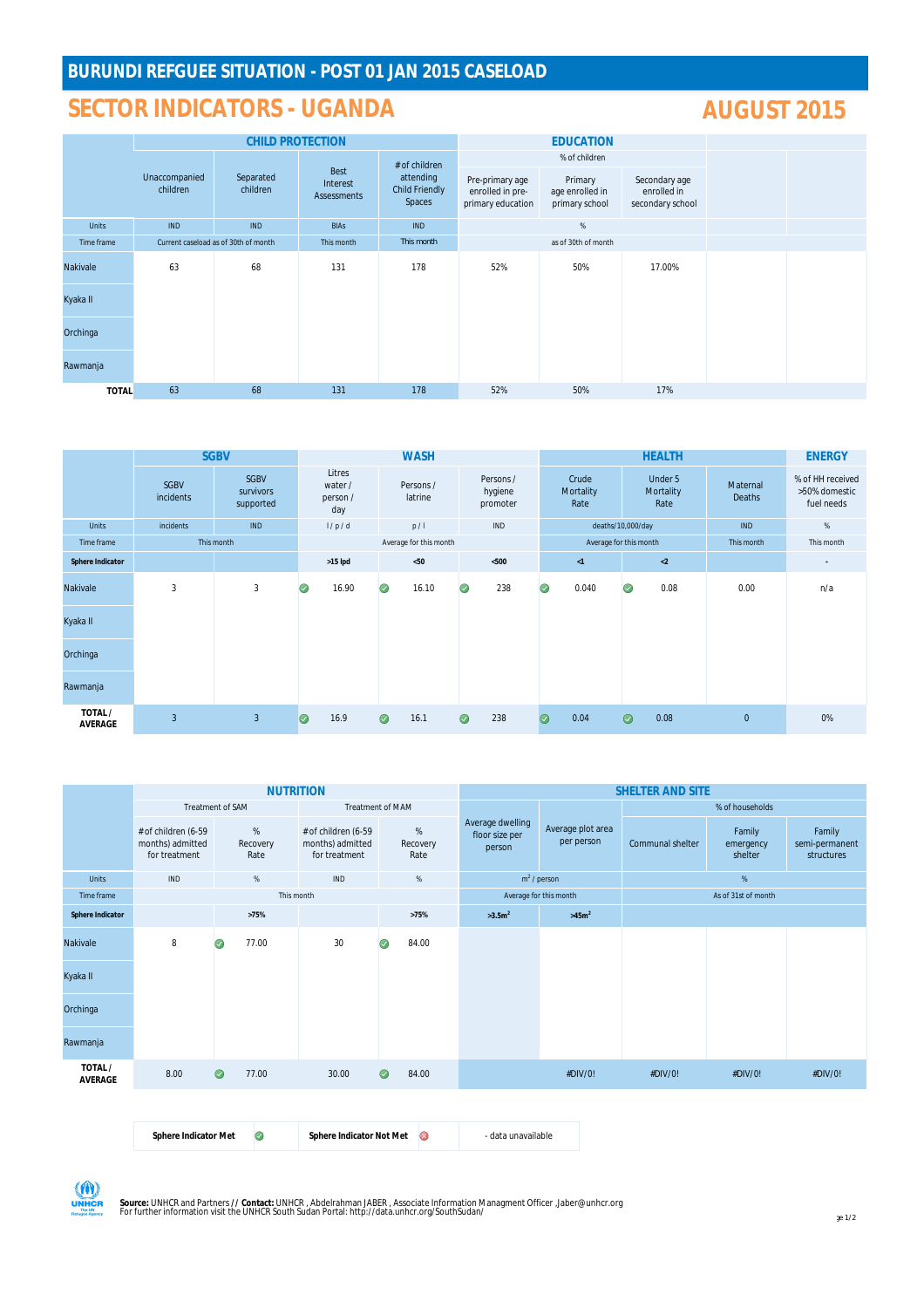# **SECTOR INDICATORS - UGANDA AUGUST 2015**

|              |                           | <b>CHILD PROTECTION</b>              |                                 |                                                               |                                                          | <b>EDUCATION</b>                             |                                                  |  |  |
|--------------|---------------------------|--------------------------------------|---------------------------------|---------------------------------------------------------------|----------------------------------------------------------|----------------------------------------------|--------------------------------------------------|--|--|
|              |                           |                                      |                                 | # of children<br>attending<br><b>Child Friendly</b><br>Spaces |                                                          | % of children                                |                                                  |  |  |
|              | Unaccompanied<br>children | Separated<br>children                | Best<br>Interest<br>Assessments |                                                               | Pre-primary age<br>enrolled in pre-<br>primary education | Primary<br>age enrolled in<br>primary school | Secondary age<br>enrolled in<br>secondary school |  |  |
| <b>Units</b> | <b>IND</b>                | <b>IND</b>                           | <b>BIAs</b>                     | <b>IND</b>                                                    |                                                          | $\%$                                         |                                                  |  |  |
| Time frame   |                           | Current caseload as of 30th of month | This month                      | This month                                                    |                                                          | as of 30th of month                          |                                                  |  |  |
| Nakivale     | 63                        | 68                                   | 131                             | 178                                                           | 52%<br>50%                                               |                                              | 17.00%                                           |  |  |
| Kyaka II     |                           |                                      |                                 |                                                               |                                                          |                                              |                                                  |  |  |
| Orchinga     |                           |                                      |                                 |                                                               |                                                          |                                              |                                                  |  |  |
| Rawmanja     |                           |                                      |                                 |                                                               |                                                          |                                              |                                                  |  |  |
| <b>TOTAL</b> | 63                        | 68                                   | 131                             | 178                                                           | 52%                                                      | 50%                                          | 17%                                              |  |  |

|                          | <b>SGBV</b>              |                                       |                        | <b>WASH</b>                          |         |                      |         |                                  |         |                            | <b>ENERGY</b> |                              |                    |                                                 |
|--------------------------|--------------------------|---------------------------------------|------------------------|--------------------------------------|---------|----------------------|---------|----------------------------------|---------|----------------------------|---------------|------------------------------|--------------------|-------------------------------------------------|
|                          | <b>SGBV</b><br>incidents | <b>SGBV</b><br>survivors<br>supported |                        | Litres<br>water /<br>person /<br>day |         | Persons /<br>latrine |         | Persons /<br>hygiene<br>promoter |         | Crude<br>Mortality<br>Rate |               | Under 5<br>Mortality<br>Rate | Maternal<br>Deaths | % of HH received<br>>50% domestic<br>fuel needs |
| <b>Units</b>             | incidents                | <b>IND</b>                            |                        | 1/p/d                                |         | p/1                  |         | IND                              |         | deaths/10,000/day          |               |                              | <b>IND</b>         | $\%$                                            |
| Time frame               |                          | This month                            | Average for this month |                                      |         |                      |         | Average for this month           |         |                            | This month    | This month                   |                    |                                                 |
| <b>Sphere Indicator</b>  |                          |                                       |                        | $>15$ lpd                            |         | < 50                 |         | $<$ 500 $\,$                     |         | $\leq 1$                   |               | $\langle 2$                  |                    | ٠                                               |
| Nakivale                 | $\mathbf{3}$             | $\overline{3}$                        | $\odot$                | 16.90                                | $\odot$ | 16.10                | $\odot$ | 238                              | $\odot$ | 0.040                      | $\odot$       | 0.08                         | 0.00               | n/a                                             |
| Kyaka II                 |                          |                                       |                        |                                      |         |                      |         |                                  |         |                            |               |                              |                    |                                                 |
| Orchinga                 |                          |                                       |                        |                                      |         |                      |         |                                  |         |                            |               |                              |                    |                                                 |
| Rawmanja                 |                          |                                       |                        |                                      |         |                      |         |                                  |         |                            |               |                              |                    |                                                 |
| TOTAL/<br><b>AVERAGE</b> | $\overline{3}$           | $\overline{3}$                        | $\bullet$              | 16.9                                 | $\odot$ | 16.1                 | $\odot$ | 238                              | $\odot$ | 0.04                       | $\odot$       | 0.08                         | $\overline{0}$     | 0%                                              |

|                           |                                                          |                          |  | <b>NUTRITION</b>                                         |         |                          | <b>SHELTER AND SITE</b>                      |                                 |                     |                                |                                        |  |  |
|---------------------------|----------------------------------------------------------|--------------------------|--|----------------------------------------------------------|---------|--------------------------|----------------------------------------------|---------------------------------|---------------------|--------------------------------|----------------------------------------|--|--|
|                           | Treatment of SAM                                         |                          |  | Treatment of MAM                                         |         |                          |                                              |                                 | % of households     |                                |                                        |  |  |
|                           | # of children (6-59<br>months) admitted<br>for treatment | $\%$<br>Recovery<br>Rate |  | # of children (6-59<br>months) admitted<br>for treatment |         | $\%$<br>Recovery<br>Rate | Average dwelling<br>floor size per<br>person | Average plot area<br>per person | Communal shelter    | Family<br>emergency<br>shelter | Family<br>semi-permanent<br>structures |  |  |
| <b>Units</b>              | <b>IND</b>                                               | $\%$                     |  | $\%$<br>IND                                              |         |                          |                                              | $m2$ / person                   | $\%$                |                                |                                        |  |  |
| Time frame                |                                                          |                          |  | This month                                               |         |                          |                                              | Average for this month          | As of 31st of month |                                |                                        |  |  |
| <b>Sphere Indicator</b>   |                                                          | >75%                     |  |                                                          |         | >75%                     | $>3.5m^2$                                    | >45m <sup>2</sup>               |                     |                                |                                        |  |  |
| Nakivale                  | 8                                                        | 77.00<br>$\omega$        |  | 30                                                       |         | 84.00                    |                                              |                                 |                     |                                |                                        |  |  |
| Kyaka II                  |                                                          |                          |  |                                                          |         |                          |                                              |                                 |                     |                                |                                        |  |  |
| Orchinga                  |                                                          |                          |  |                                                          |         |                          |                                              |                                 |                     |                                |                                        |  |  |
| Rawmanja                  |                                                          |                          |  |                                                          |         |                          |                                              |                                 |                     |                                |                                        |  |  |
| TOTAL /<br><b>AVERAGE</b> | 8.00                                                     | $\odot$<br>77.00         |  | 30.00                                                    | $\odot$ | 84.00                    |                                              | #DIV/0!                         | #DIV/0!             | #DIV/0!                        | #DIV/0!                                |  |  |
|                           |                                                          |                          |  |                                                          |         |                          |                                              |                                 |                     |                                |                                        |  |  |

| <b>Sphere Indicator Met</b> | Sphere Indicator Not Met | - data unavailable |
|-----------------------------|--------------------------|--------------------|
|                             |                          |                    |



**Source:** UNHCR and Partners **// Contact:** UNHCR , Abdelrahman JABER , Associate Information Managment Officer ,Jaber@unhcr.org<br>For further information visit the UNHCR South Sudan Portal: http://data.unhcr.org/SouthSudan/